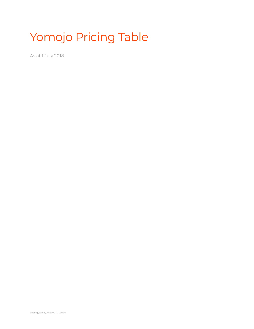# Yomojo Pricing Table

As at 1 July 2018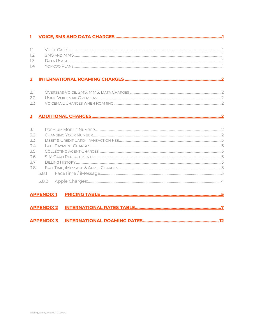| T              |                   |  |
|----------------|-------------------|--|
|                |                   |  |
| 7.7            |                   |  |
| 7.2            |                   |  |
| 7.3            |                   |  |
| 7.4            |                   |  |
| $\overline{2}$ |                   |  |
|                |                   |  |
| 2.1            |                   |  |
| 2.2            |                   |  |
| 2.3            |                   |  |
| 3              |                   |  |
|                |                   |  |
| 3.1            |                   |  |
| 3.2            |                   |  |
| 3.3            |                   |  |
| 3.4            |                   |  |
| 3.5            |                   |  |
| 3.6            |                   |  |
| 3.7            |                   |  |
| 3.8            |                   |  |
|                | 3.8.1             |  |
|                |                   |  |
|                | <b>APPENDIX1</b>  |  |
|                |                   |  |
|                | <b>APPENDIX 2</b> |  |
|                | <b>APPENDIX 3</b> |  |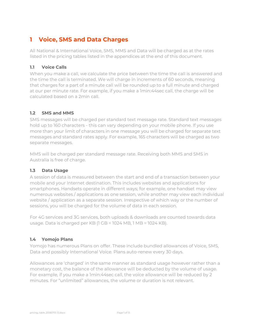### <span id="page-2-0"></span>**1 Voice, SMS and Data Charges**

All National & International Voice, SMS, MMS and Data will be charged as at the rates listed in the pricing tables listed in the appendices at the end of this document.

#### <span id="page-2-1"></span>**1.1 Voice Calls**

When you make a call, we calculate the price between the time the call is answered and the time the call is terminated. We will charge in increments of 60 seconds, meaning that charges for a part of a minute call will be rounded up to a full minute and charged at our per minute rate. For example, if you make a 1min:44sec call, the charge will be calculated based on a 2min call.

#### <span id="page-2-2"></span>**1.2 SMS and MMS**

SMS messages will be charged per standard text message rate. Standard text messages hold up to 160 characters - this can vary depending on your mobile phone. If you use more than your limit of characters in one message you will be charged for separate text messages and standard rates apply. For example, 165 characters will be charged as two separate messages.

MMS will be charged per standard message rate. Receiving both MMS and SMS in Australia is free of charge.

### <span id="page-2-3"></span>**1.3 Data Usage**

A session of data is measured between the start and end of a transaction between your mobile and your Internet destination. This includes websites and applications for smartphones. Handsets operate in different ways; for example, one handset may view numerous websites / applications as one session, while another may view each individual website / application as a separate session. Irrespective of which way or the number of sessions, you will be charged for the volume of data in each session.

For 4G services and 3G services, both uploads & downloads are counted towards data usage. Data is charged per KB (1 GB = 1024 MB, 1 MB = 1024 KB).

### <span id="page-2-4"></span>**1.4 Yomojo Plans**

Yomojo has numerous Plans on offer. These include bundled allowances of Voice, SMS, Data and possibly International Voice. Plans auto-renew every 30 days.

Allowances are 'charged' in the same manner as standard usage however rather than a monetary cost, the balance of the allowance will be deducted by the volume of usage. For example, if you make a 1min:44sec call, the voice allowance will be reduced by 2 minutes. For "unlimited" allowances, the volume or duration is not relevant.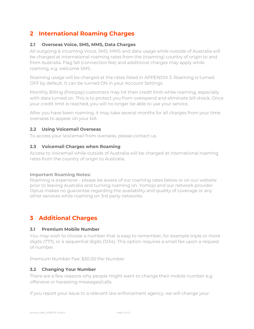### <span id="page-3-0"></span>**2 International Roaming Charges**

#### <span id="page-3-1"></span>**2.1 Overseas Voice, SMS, MMS, Data Charges**

All outgoing & incoming Voice, SMS, MMS and data usage while outside of Australia will be charged at international roaming rates from the (roaming) country of origin to and from Australia. Flag fall (connection fee) and additional charges may apply while roaming, e.g. welcome SMS.

Roaming usage will be charged at the rates listed in [APPENDIX 3.](#page-13-0) Roaming is turned OFF by default. It can be turned ON in your Account Settings.

Monthly Billing (Postpay) customers may hit their credit limit while roaming, especially with data turned on. This is to protect you from overspend and eliminate bill shock. Once your credit limit is reached, you will no longer be able to use your service.

After you have been roaming, it may take several months for all charges from your time overseas to appear on your bill.

#### <span id="page-3-2"></span>**2.2 Using Voicemail Overseas**

To access your Voicemail from overseas, please contact us.

#### <span id="page-3-3"></span>**2.3 Voicemail Charges when Roaming**

Access to Voicemail while outside of Australia will be charged at international roaming rates from the country of origin to Australia.

#### **Important Roaming Notes:**

Roaming is expensive – please be aware of our roaming rates below or on our website prior to leaving Australia and turning roaming on. Yomojo and our network provider Optus makes no guarantee regarding the availability and quality of coverage or any other services while roaming on 3rd party networks.

### <span id="page-3-4"></span>**3 Additional Charges**

#### <span id="page-3-5"></span>**3.1 Premium Mobile Number**

You may wish to choose a number that is easy to remember, for example triple or more digits (777), or 4 sequential digits (1234). This option requires a small fee upon a request of number.

Premium Number Fee: \$30.00 Per Number

#### <span id="page-3-6"></span>**3.2 Changing Your Number**

There are a few reasons why people might want to change their mobile number e.g. offensive or harassing messages/calls.

If you report your issue to a relevant law enforcement agency, we will change your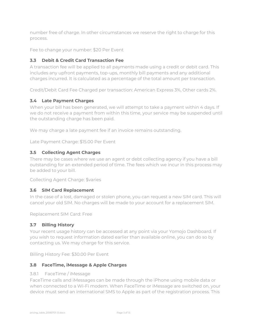number free of charge. In other circumstances we reserve the right to charge for this process.

Fee to change your number: \$20 Per Event

#### <span id="page-4-0"></span>**3.3 Debit & Credit Card Transaction Fee**

A transaction fee will be applied to all payments made using a credit or debit card. This includes any upfront payments, top-ups, monthly bill payments and any additional charges incurred. It is calculated as a percentage of the total amount per transaction.

Credit/Debit Card Fee Charged per transaction: American Express 3%, Other cards 2%.

#### <span id="page-4-1"></span>**3.4 Late Payment Charges**

When your bill has been generated, we will attempt to take a payment within 4 days. If we do not receive a payment from within this time, your service may be suspended until the outstanding charge has been paid.

We may charge a late payment fee if an invoice remains outstanding.

Late Payment Charge: \$15.00 Per Event

#### <span id="page-4-2"></span>**3.5 Collecting Agent Charges**

There may be cases where we use an agent or debt collecting agency if you have a bill outstanding for an extended period of time. The fees which we incur in this process may be added to your bill.

Collecting Agent Charge: \$varies

#### <span id="page-4-3"></span>**3.6 SIM Card Replacement**

In the case of a lost, damaged or stolen phone, you can request a new SIM card. This will cancel your old SIM. No charges will be made to your account for a replacement SIM.

Replacement SIM Card: Free

#### <span id="page-4-4"></span>**3.7 Billing History**

Your recent usage history can be accessed at any point via your Yomojo Dashboard. If you wish to request information dated earlier than available online, you can do so by contacting us. We may charge for this service.

Billing History Fee: \$30.00 Per Event

#### <span id="page-4-5"></span>**3.8 FaceTime, iMessage & Apple Charges**

#### <span id="page-4-6"></span>3.8.1 FaceTime / iMessage

FaceTime calls and iMessages can be made through the iPhone using mobile data or when connected to a Wi-Fi modem. When FaceTime or iMessage are switched on, your device must send an international SMS to Apple as part of the registration process. This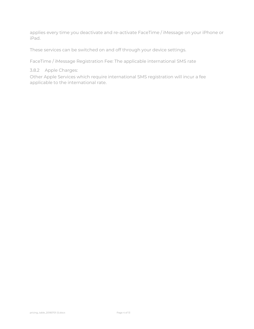applies every time you deactivate and re-activate FaceTime / iMessage on your iPhone or iPad.

These services can be switched on and off through your device settings.

FaceTime / iMessage Registration Fee: The applicable international SMS rate

#### <span id="page-5-0"></span>3.8.2 Apple Charges:

Other Apple Services which require international SMS registration will incur a fee applicable to the international rate.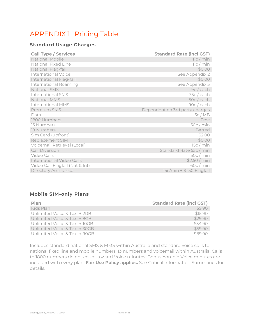## <span id="page-6-0"></span>APPENDIX 1 Pricing Table

### **Standard Usage Charges**

| <b>Call Type / Services</b>     | <b>Standard Rate (incl GST)</b> |
|---------------------------------|---------------------------------|
| National Mobile                 | 11c / min                       |
| National Fixed Line             | 11c / min                       |
| National Flag-fall              | \$0.00                          |
| <b>International Voice</b>      | See Appendix 2                  |
| International Flag-fall         | \$0.00                          |
| International Roaming           | See Appendix 3                  |
| National SMS                    | 9c / each                       |
| <b>International SMS</b>        | 35c / each                      |
| <b>National MMS</b>             | 50c/each                        |
| <b>International MMS</b>        | 90c / each                      |
| Premium SMS                     | Dependent on 3rd party charges  |
| Data                            | 5c/MB                           |
| 1800 Numbers                    | Free                            |
| 13 Numbers                      | 30c/min                         |
| 19 Numbers                      | <b>Barred</b>                   |
| Sim Card (upfront)              | \$2.00                          |
| Replacement SIM                 | \$0.00                          |
| Voicemail Retrieval (Local)     | 15c/min                         |
| <b>Call Diversion</b>           | Standard Rate 55c / min         |
| Video Calls                     | 50c/min                         |
| International Video Calls       | \$2.50/min                      |
| Video Call Flagfall (Nat & Int) | 60c/min                         |
| <b>Directory Assistance</b>     | 15c/min + \$1.50 Flagfall       |

#### **Mobile SIM-only Plans**

| Plan                          | <b>Standard Rate (incl GST)</b> |
|-------------------------------|---------------------------------|
| Kids Plan                     | \$9.90                          |
| Unlimited Voice & Text + 2GB  | \$15.90                         |
| Unlimited Voice & Text + 8GB  | \$29.90                         |
| Unlimited Voice & Text + 10GB | \$34.90                         |
| Unlimited Voice & Text + 30GB | \$59.90                         |
| Unlimited Voice & Text + 90GB | \$8990                          |

Includes standard national SMS & MMS within Australia and standard voice calls to national fixed line and mobile numbers, 13 numbers and voicemail within Australia. Calls to 1800 numbers do not count toward Voice minutes. Bonus Yomojo Voice minutes are included with every plan. **Fair Use Policy applies.** See Critical Information Summaries for details.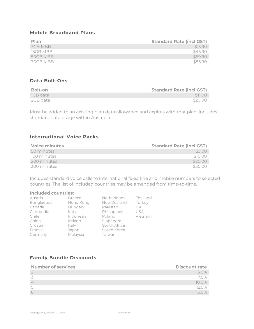#### **Mobile Broadband Plans**

| Plan     | <b>Standard Rate (incl GST)</b> |
|----------|---------------------------------|
| 3GB MBB  | \$15.90                         |
| 15GB MBB | \$45.90                         |
| 50GB MBB | \$69.90                         |
| 70GB MBB | \$85.90                         |

#### **Data Bolt-Ons**

| Bolt-on  | <b>Standard Rate (incl GST)</b> |
|----------|---------------------------------|
| IGB data | \$11.00                         |
| 2GB data | \$20.00                         |

Must be added to an existing plan data allowance and expires with that plan. Includes standard data usage within Australia.

#### **International Voice Packs**

| <b>Voice minutes</b> | <b>Standard Rate (incl GST)</b> |
|----------------------|---------------------------------|
| 50 minutes           | \$500                           |
| 100 minutes          | \$10.00                         |
| 200 minutes          | \$20.00                         |
| 300 minutes          | \$30.00                         |

Includes standard voice calls to international fixed line and mobile numbers to selected countries. The list of included countries may be amended from time-to-time.

#### **Included countries:**

| Austria    | Greece    | Netherlands  | Thailand   |
|------------|-----------|--------------|------------|
| Bangladesh | Hong Kong | New Zealand  | Turkey     |
| Canada     | Hungary   | Pakistan     | UK.        |
| Cambodia   | India     | Philippines  | <b>USA</b> |
| Chile      | Indonesia | Poland       | Vietnam    |
| China      | Ireland   | Singapore    |            |
| Croatia    | Italy     | South Africa |            |
| France     | Japan     | South Korea  |            |
| Germany    | Malaysia  | Taiwan       |            |

### **Family Bundle Discounts**

| <b>Number of services</b> | <b>Discount rate</b> |
|---------------------------|----------------------|
|                           | 5.0%                 |
|                           | 7.5%                 |
|                           | $10.0\%$             |
|                           | 12.5%                |
|                           | 15 O%                |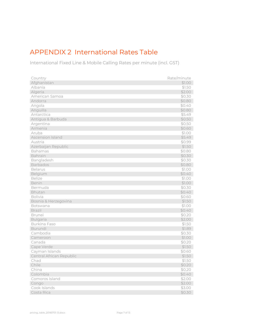## <span id="page-8-0"></span>APPENDIX 2 International Rates Table

International Fixed Line & Mobile Calling Rates per minute (incl. GST)

| Country                                | Rate/minute      |
|----------------------------------------|------------------|
| Afghanistan                            | \$1.00           |
| Albania                                | \$1.50           |
| Algeria                                | \$2.00           |
| American Samoa                         | \$0.30           |
| Andorra                                | \$0.80           |
| Angola                                 | \$0.40           |
| Anguilla                               | \$0.80           |
| Antarctica                             | \$5.49           |
| Antigua & Barbuda                      | \$0.50           |
| Argentina                              | \$0.50           |
| Armenia                                | \$0.60           |
| Aruba                                  | \$1.00           |
| Ascension Island                       | \$5.49           |
| Austria                                | \$0.99           |
| Azerbaijan Republic                    | \$1.50           |
| Bahamas                                | \$0.80           |
| Bahrain                                | \$0.30           |
| Bangladesh                             | \$0.30           |
| Barbados                               | \$0.80           |
| <b>Belarus</b>                         | \$1.00           |
| Belgium                                | \$0.40           |
| <b>Belize</b>                          | \$1.00           |
| Benin                                  | \$1.00           |
| Bermuda                                | \$0.30           |
| Bhutan                                 | \$0.40           |
| <b>Bolivia</b>                         | \$0.60           |
| Bosnia & Herzegovina                   | \$1.50           |
| Botswana                               | \$1.00           |
| <b>Brazil</b>                          | \$0.40           |
| <b>Brunei</b>                          | \$0.20           |
| <b>Bulgaria</b><br><b>Burkina Faso</b> | \$2.00           |
| Burundi                                | \$1.50<br>\$1.89 |
| Cambodia                               | \$0.30           |
| Cameroon                               | \$1.00           |
| Canada                                 | \$0.20           |
| Cape Verde                             | \$1.50           |
| Cayman Islands                         | \$0.60           |
| Central African Republic               | \$1.50           |
| Chad                                   | \$1.50           |
| Chile                                  | \$0.20           |
| China                                  | \$0.20           |
| Colombia                               | \$0.40           |
| Comoros Island                         | \$2.00           |
| Congo                                  | \$2.00           |
| Cook Islands                           | \$3.00           |
| Costa Rica                             | \$0.30           |
|                                        |                  |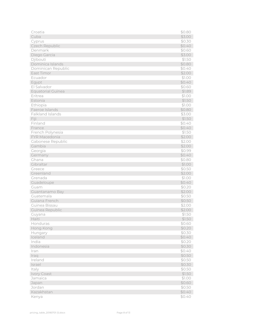| Croatia            | \$0.80           |
|--------------------|------------------|
| Cuba               | \$3.00           |
| Cyprus             | \$0.30           |
| Czech Republic     | \$0.40           |
| Denmark            | \$0.60           |
| Diego Garcia       | \$3.00           |
| Djibouti           | \$1.50           |
| Dominica Islands   | \$0.80           |
| Dominican Republic | \$0.40           |
| East Timor         | \$2.00           |
| Ecuador            | \$1.00           |
| Egypt              | \$0.40           |
| El Salvador        | \$0.60           |
| Equatorial Guinea  | \$1.89           |
| Eritrea            | \$1.00           |
| Estonia            | \$1.50           |
| Ethiopia           | \$1.00           |
| Faeroe Islands     | \$0.80           |
| Falkland Islands   | \$3.00           |
| Fiji               | \$1.50           |
| Finland            | \$0.40           |
| France             | \$0.40           |
| French Polynesia   | \$1.50           |
| FYR Macedonia      | \$2.00           |
| Gabonese Republic  | \$2.00           |
| Gambia             | \$2.00           |
| Georgia            | \$0.99           |
| Germany<br>Ghana   | \$0.40           |
| Gibraltar          | \$0.80<br>\$1.00 |
| Greece             | \$0.50           |
| Greenland          | \$2.00           |
| Grenada            | \$1.00           |
| Guadeloupe         | \$0.40           |
| Guam               | \$0.20           |
| Guantanamo Bay     | \$2.00           |
| Guatemala          | \$0.50           |
| Guiana French      | \$0.50           |
| Guinea Bissau      | \$2.00           |
| Guinea Republic    | \$2.00           |
| Guyana             | \$1.50           |
| Haiti              | \$1.50           |
| Honduras           | \$0.60           |
| Hong Kong          | \$0.20           |
| Hungary            | \$0.30           |
| Iceland            | \$0.40           |
| India              | \$0.20           |
| Indonesia          | \$0.30           |
| Iran               | \$0.40           |
| Iraq               | \$0.50           |
| Ireland            | \$0.50           |
| Israel             | \$0.30           |
| Italy              | \$0.50           |
| Ivory Coast        | \$1.50           |
| Jamaica            | \$1.00           |
| Japan              | \$0.60           |
| Jordan             | \$0.50           |
| Kazakhstan         | \$0.40           |
| Kenya              | \$0.40           |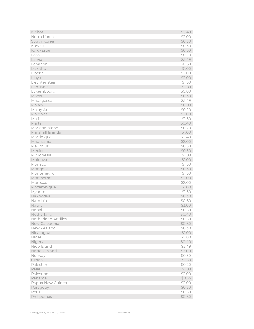| Kiribati                   | \$5.49 |
|----------------------------|--------|
| North Korea                | \$2.00 |
| South Korea                | \$0.30 |
| Kuwait                     | \$0.30 |
| Kyrgyzstan                 | \$0.50 |
| Laos                       | \$0.20 |
| Latvia                     | \$5.49 |
| Lebanon                    | \$0.60 |
| Lesotho                    | \$1.00 |
| Liberia                    | \$2.00 |
| Libya                      | \$2.00 |
| Liechtenstein              | \$1.50 |
| Lithuania                  | \$1.89 |
| Luxembourg                 | \$0.80 |
| Macau                      | \$0.30 |
| Madagascar                 | \$5.49 |
| Malawi                     | \$0.99 |
| Malaysia                   | \$0.20 |
| Maldives                   | \$2.00 |
| Mali                       | \$1.50 |
| Malta                      | \$0.40 |
| Mariana Island             | \$0.20 |
| Marshall Islands           | \$1.00 |
| Martinique                 | \$0.40 |
| Mauritania                 | \$2.00 |
| Mauritius                  | \$0.50 |
| Mexico                     | \$0.30 |
| Micronesia                 | \$1.89 |
| Moldova                    | \$1.00 |
| Monaco                     | \$1.50 |
| Mongolia                   | \$0.30 |
| Montenegro                 | \$1.50 |
| Montserrat                 | \$2.00 |
| Morocco                    | \$2.00 |
| Mozambique                 | \$1.00 |
| Myanmar                    | \$1.50 |
| Nakhodka                   | \$0.30 |
| Namibia                    | \$0.60 |
| Nauru                      | \$3.00 |
| Nepal                      | \$0.50 |
| Netherland                 | \$0.40 |
| <b>Netherland Antilles</b> | \$0.50 |
| New Caledonia              | \$0.60 |
| New Zealand                | \$0.30 |
| Nicaragua                  | \$1.00 |
| Niger                      | \$0.80 |
| Nigeria                    | \$0.40 |
| Niue Island                | \$5.49 |
| Norfolk Island             | \$3.00 |
| Norway                     | \$0.50 |
| Oman                       | \$1.50 |
| Pakistan                   | \$0.20 |
| Palau                      | \$1.89 |
| Palestine                  | \$2.00 |
| Panama                     | \$0.55 |
| Papua New Guinea           | \$2.00 |
| Paraguay                   | \$0.50 |
| Peru                       | \$0.50 |
| Philippines                | \$0.60 |
|                            |        |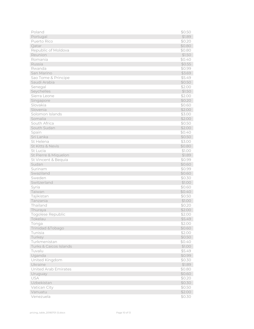| Poland                 | \$0.50 |
|------------------------|--------|
| Portugal               | \$1.89 |
| Puerto Rico            | \$0.20 |
| Qatar                  | \$0.80 |
| Republic of Moldova    | \$0.80 |
| Reunion                | \$1.50 |
| Romania                | \$0.40 |
| Russia                 | \$0.55 |
| Rwanda                 | \$0.99 |
| San Marino             | \$3.69 |
| Sao Tome & Principe    | \$5.49 |
| Saudi Arabia           | \$0.50 |
| Senegal                | \$2.00 |
| Seychelles             | \$1.50 |
| Sierra Leone           | \$2.00 |
| Singapore              | \$0.20 |
| Slovakia               | \$0.60 |
| Slovenia               | \$2.00 |
| Solomon Islands        | \$3.00 |
| Somalia                | \$2.00 |
| South Africa           | \$0.50 |
| South Sudan            | \$2.00 |
| Spain                  | \$0.40 |
| Sri Lanka              | \$0.50 |
| St Helena              | \$3.00 |
| St Kitts & Nevis       | \$0.80 |
| St Lucia               | \$1.00 |
| St Pierre & Miquelon   | \$1.89 |
| St Vincent & Bequia    | \$0.99 |
| Sudan                  | \$0.60 |
| Surinam                | \$0.99 |
| Swaziland              | \$0.60 |
| Sweden                 | \$0.30 |
| Switzerland            | \$1.00 |
| Syria                  | \$0.60 |
| Taiwan                 | \$0.40 |
| Tajikistan             | \$0.50 |
| Tanzania               | \$1.00 |
| Thailand               | \$0.20 |
| Thuraya                | \$2.00 |
| Togolese Republic      | \$2.00 |
| Tokelau                | \$5.49 |
| Tonga                  | \$2.00 |
| Trinidad & Tobago      | \$0.60 |
| Tunisia                | \$2.00 |
| Turkey                 | \$0.50 |
| Turkmenistan           | \$0.40 |
| Turks & Caicos Islands | \$1.00 |
| Tuvalu                 | \$5.49 |
| Uganda                 | \$0.99 |
| United Kingdom         | \$0.30 |
| Ukraine                | \$1.89 |
| United Arab Emirates   | \$0.80 |
| Uruguay                | \$0.60 |
| USA                    | \$0.20 |
| Uzbekistan             | \$0.30 |
| Vatican City           | \$0.50 |
| Vanuatu                | \$2.00 |
| Venezuela              | \$0.30 |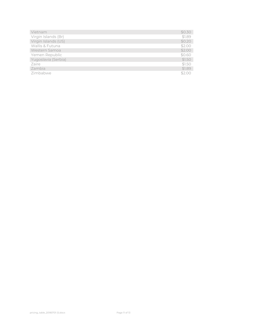| Vietnam             | \$0.30 |
|---------------------|--------|
| Virgin Islands (Br) | \$1.89 |
| Virgin Islands (US) | \$0.20 |
| Wallis & Futuna     | \$2.00 |
| Western Samoa       | \$2.00 |
| Yemen Republic      | \$0.60 |
| Yugoslavia (Serbia) | \$1.50 |
| Zaire               | \$1.50 |
| Zambia              | \$1.89 |
| Zimbabwe            | \$200  |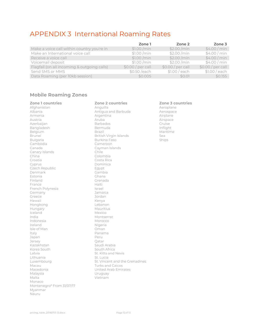### <span id="page-13-0"></span>APPENDIX 3 International Roaming Rates

|                                             | Zone 1           | Zone 2           | Zone 3           |
|---------------------------------------------|------------------|------------------|------------------|
| Make a voice call within country you're in  | \$1.00 / min     | \$2.00/min       | \$4.00/min       |
| Make an International voice call            | \$1.00 / min     | \$2.00 / min     | \$4.00/min       |
| Receive a voice call                        | \$1.00 / min     | \$2.00/min       | \$4.00/min       |
| Voicemail deposit                           | \$1.00/min       | \$2.00 / min     | \$4.00/min       |
| Flagfall (on all incoming & outgoing calls) | $$0.00/per$ call | $$0.00/per$ call | $$0.00/per$ call |
| Send SMS or MMS                             | \$0.50 /each     | \$1.00 / each    | \$1.00 / each    |
| Data Roaming (per 10kb session)             | \$0.005          | \$0.01           | \$0.155          |

#### **Mobile Roaming Zones**

| <b>Zone 1 countries</b>   | Zon           |
|---------------------------|---------------|
| Afghanistan               | Angl          |
| Albania                   | Antio         |
| Armenia                   | Arge          |
| Austria                   | Arub          |
| Azerbaijan                | Barb          |
| Bangladesh                | Bern          |
| Belgium                   | <b>Braz</b>   |
| <b>Brunei</b>             | <b>Britis</b> |
| <b>Bulgaria</b>           | Burk          |
| Cambodia                  | Cam           |
| Canada                    | Cayr          |
| Canary Islands            | Chile         |
| China                     | Colo          |
| Croatia                   | Cost          |
| Cyprus                    | Dom           |
| Czech Republic            | Egyp          |
| Denmark                   | Gam           |
| Estonia                   | Ghar          |
| Finland                   | Gren          |
| France                    | Haiti         |
| French Polynesia          | Israe         |
| Germany                   | Jama          |
| Greece                    | Jord;         |
| Hawaii                    | Keny          |
| Hongkong                  | Leba          |
| Hungary                   | Maui          |
| Iceland                   | Mexi          |
| India                     | Mon           |
| Indonesia                 | Morc          |
| Ireland                   | Nige          |
| Isle of Man               | Oma           |
| Italy                     | Pana          |
| Japan                     | Peru          |
| Jersey                    | Qata          |
| Kazakhstan                | Sauc          |
| Korea South               | Sout          |
| Latvia                    | St. Ki        |
| Lithuania                 | St. Lu        |
| Luxembourg                | St. Vi        |
| Macau                     | Turk:         |
| Macedonia                 | Unite         |
| Malaysia                  | Uruc          |
| Malta                     | Vietr         |
| Monaco                    |               |
| Montenegro* From 31/07/17 |               |
| Myanmar                   |               |
| Nauru                     |               |

**Zone 1 countries Zone 2 countries Zone 3 countries** Albania Antigua and Barbuda Aerospace Argentina and Airplane<br>Aruba Airspace Austria Aruba Airspace Azerbaijan Barbados Cruise Bermuda<br>Brazil Brunei British Virgin Islands Sea Burkina Faso Cameroon Cayman Islands Chile Colombia Costa Rica Dominica Egypt Gambia Ghana Grenada<br>Haiti Israel Jamaica Jordan Kenya Lebanon Mauritius Mexico Montserrat Morocco Nigeria Oman Panama<br>Peru Qatar Saudi Arabia South Africa St. Kitts and Nevis St. Lucia St. Vincent and the Grenadines Turks and Caicos United Arab Emirates Uruguay Vietnam

Aeroplane<br>Aerospace Maritime